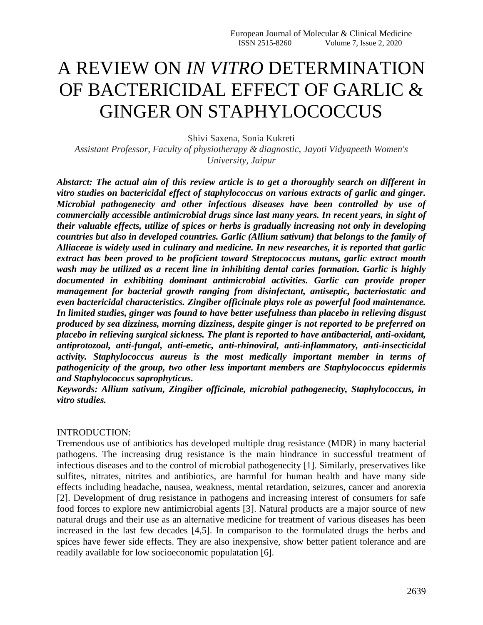# A REVIEW ON *IN VITRO* DETERMINATION OF BACTERICIDAL EFFECT OF GARLIC & GINGER ON STAPHYLOCOCCUS

Shivi Saxena, Sonia Kukreti

*Assistant Professor, Faculty of physiotherapy & diagnostic, Jayoti Vidyapeeth Women's University, Jaipur*

*Abstarct: The actual aim of this review article is to get a thoroughly search on different in vitro studies on bactericidal effect of staphylococcus on various extracts of garlic and ginger. Microbial pathogenecity and other infectious diseases have been controlled by use of commercially accessible antimicrobial drugs since last many years. In recent years, in sight of their valuable effects, utilize of spices or herbs is gradually increasing not only in developing countries but also in developed countries. Garlic (Allium sativum) that belongs to the family of Alliaceae is widely used in culinary and medicine. In new researches, it is reported that garlic extract has been proved to be proficient toward Streptococcus mutans, garlic extract mouth wash may be utilized as a recent line in inhibiting dental caries formation. Garlic is highly documented in exhibiting dominant antimicrobial activities. Garlic can provide proper management for bacterial growth ranging from disinfectant, antiseptic, bacteriostatic and even bactericidal characteristics. Zingiber officinale plays role as powerful food maintenance. In limited studies, ginger was found to have better usefulness than placebo in relieving disgust produced by sea dizziness, morning dizziness, despite ginger is not reported to be preferred on placebo in relieving surgical sickness. The plant is reported to have antibacterial, anti-oxidant, antiprotozoal, anti-fungal, anti-emetic, anti-rhinoviral, anti-inflammatory, anti-insecticidal activity. Staphylococcus aureus is the most medically important member in terms of pathogenicity of the group, two other less important members are Staphylococcus epidermis and Staphylococcus saprophyticus.*

*Keywords: Allium sativum, Zingiber officinale, microbial pathogenecity, Staphylococcus, in vitro studies.*

#### INTRODUCTION:

Tremendous use of antibiotics has developed multiple drug resistance (MDR) in many bacterial pathogens. The increasing drug resistance is the main hindrance in successful treatment of infectious diseases and to the control of microbial pathogenecity [1]. Similarly, preservatives like sulfites, nitrates, nitrites and antibiotics, are harmful for human health and have many side effects including headache, nausea, weakness, mental retardation, seizures, cancer and anorexia [2]. Development of drug resistance in pathogens and increasing interest of consumers for safe food forces to explore new antimicrobial agents [3]. Natural products are a major source of new natural drugs and their use as an alternative medicine for treatment of various diseases has been increased in the last few decades [4,5]. In comparison to the formulated drugs the herbs and spices have fewer side effects. They are also inexpensive, show better patient tolerance and are readily available for low socioeconomic populatation [6].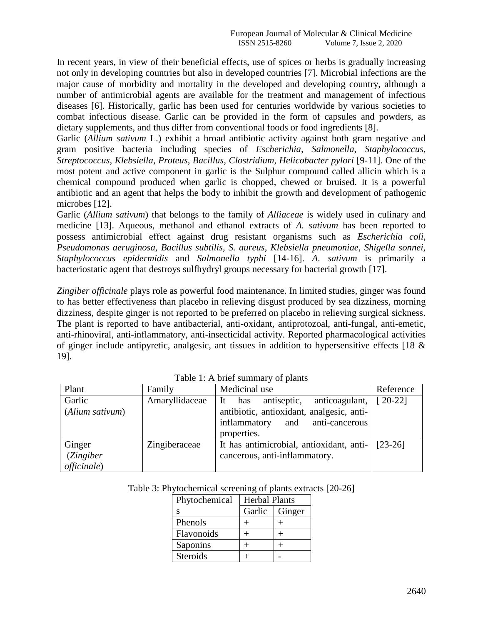In recent years, in view of their beneficial effects, use of spices or herbs is gradually increasing not only in developing countries but also in developed countries [7]. Microbial infections are the major cause of morbidity and mortality in the developed and developing country, although a number of antimicrobial agents are available for the treatment and management of infectious diseases [6]. Historically, garlic has been used for centuries worldwide by various societies to combat infectious disease. Garlic can be provided in the form of capsules and powders, as dietary supplements, and thus differ from conventional foods or food ingredients [8].

Garlic (*Allium sativum* L.) exhibit a broad antibiotic activity against both gram negative and gram positive bacteria including species of *Escherichia, Salmonella, Staphylococcus, Streptococcus, Klebsiella, Proteus, Bacillus, Clostridium, Helicobacter pylori* [9-11]. One of the most potent and active component in garlic is the Sulphur compound called allicin which is a chemical compound produced when garlic is chopped, chewed or bruised. It is a powerful antibiotic and an agent that helps the body to inhibit the growth and development of pathogenic microbes [12].

Garlic (*Allium sativum*) that belongs to the family of *Alliaceae* is widely used in culinary and medicine [13]. Aqueous, methanol and ethanol extracts of *A. sativum* has been reported to possess antimicrobial effect against drug resistant organisms such as *Escherichia coli, Pseudomonas aeruginosa, Bacillus subtilis, S. aureus, Klebsiella pneumoniae, Shigella sonnei, Staphylococcus epidermidis* and *Salmonella typhi* [14-16]. *A. sativum* is primarily a bacteriostatic agent that destroys sulfhydryl groups necessary for bacterial growth [17].

*Zingiber officinale* plays role as powerful food maintenance. In limited studies, ginger was found to has better effectiveness than placebo in relieving disgust produced by sea dizziness, morning dizziness, despite ginger is not reported to be preferred on placebo in relieving surgical sickness. The plant is reported to have antibacterial, anti-oxidant, antiprotozoal, anti-fungal, anti-emetic, anti-rhinoviral, anti-inflammatory, anti-insecticidal activity. Reported pharmacological activities of ginger include antipyretic, analgesic, ant tissues in addition to hypersensitive effects [18 & 19].

| Plant                                      | Family         | Medicinal use                                                                                                                              | Reference               |
|--------------------------------------------|----------------|--------------------------------------------------------------------------------------------------------------------------------------------|-------------------------|
| Garlic<br>(Alium sativum)                  | Amaryllidaceae | antiseptic,<br>anticoagulant,<br>has<br>-lt<br>antibiotic, antioxidant, analgesic, anti-<br>inflammatory and anti-cancerous<br>properties. | $\lceil 20 - 22 \rceil$ |
| Ginger<br>(Zingiber<br><i>officinale</i> ) | Zingiberaceae  | It has antimicrobial, antioxidant, anti-<br>cancerous, anti-inflammatory.                                                                  | $[23-26]$               |

Table 1: A brief summary of plants

| Table 3: Phytochemical screening of plants extracts [20-26] |  |  |
|-------------------------------------------------------------|--|--|
|-------------------------------------------------------------|--|--|

| Phytochemical | <b>Herbal Plants</b> |        |
|---------------|----------------------|--------|
| S             | Garlic               | Ginger |
| Phenols       |                      |        |
| Flavonoids    |                      |        |
| Saponins      |                      |        |
| Steroids      |                      |        |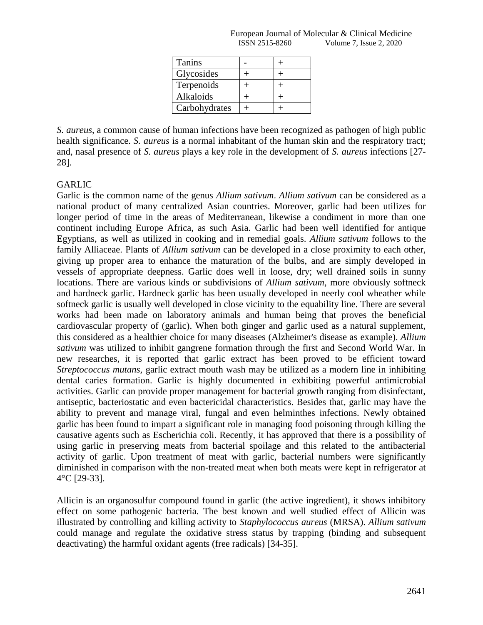| European<br>- OT<br><b>Molecular</b><br>a Journal 4 | . .<br>$\mathcal{R}$<br>Medicine<br>∃inical |
|-----------------------------------------------------|---------------------------------------------|
| -8260<br>KN.<br>15.1                                | 2020<br><i>ssue</i><br>Volume               |

| Tanins        |  |
|---------------|--|
| Glycosides    |  |
| Terpenoids    |  |
| Alkaloids     |  |
| Carbohydrates |  |

*S. aureus*, a common cause of human infections have been recognized as pathogen of high public health significance. *S. aureus* is a normal inhabitant of the human skin and the respiratory tract; and, nasal presence of *S. aureus* plays a key role in the development of *S. aureus* infections [27- 28].

# GARLIC

Garlic is the common name of the genus *Allium sativum*. *Allium sativum* can be considered as a national product of many centralized Asian countries. Moreover, garlic had been utilizes for longer period of time in the areas of Mediterranean, likewise a condiment in more than one continent including Europe Africa, as such Asia. Garlic had been well identified for antique Egyptians, as well as utilized in cooking and in remedial goals. *Allium sativum* follows to the family Alliaceae. Plants of *Allium sativum* can be developed in a close proximity to each other, giving up proper area to enhance the maturation of the bulbs, and are simply developed in vessels of appropriate deepness. Garlic does well in loose, dry; well drained soils in sunny locations. There are various kinds or subdivisions of *Allium sativum*, more obviously softneck and hardneck garlic. Hardneck garlic has been usually developed in neerly cool wheather while softneck garlic is usually well developed in close vicinity to the equability line. There are several works had been made on laboratory animals and human being that proves the beneficial cardiovascular property of (garlic). When both ginger and garlic used as a natural supplement, this considered as a healthier choice for many diseases (Alzheimer's disease as example). *Allium sativum* was utilized to inhibit gangrene formation through the first and Second World War. In new researches, it is reported that garlic extract has been proved to be efficient toward *Streptococcus mutans*, garlic extract mouth wash may be utilized as a modern line in inhibiting dental caries formation. Garlic is highly documented in exhibiting powerful antimicrobial activities. Garlic can provide proper management for bacterial growth ranging from disinfectant, antiseptic, bacteriostatic and even bactericidal characteristics. Besides that, garlic may have the ability to prevent and manage viral, fungal and even helminthes infections. Newly obtained garlic has been found to impart a significant role in managing food poisoning through killing the causative agents such as Escherichia coli. Recently, it has approved that there is a possibility of using garlic in preserving meats from bacterial spoilage and this related to the antibacterial activity of garlic. Upon treatment of meat with garlic, bacterial numbers were significantly diminished in comparison with the non-treated meat when both meats were kept in refrigerator at 4°C [29-33].

Allicin is an organosulfur compound found in garlic (the active ingredient), it shows inhibitory effect on some pathogenic bacteria. The best known and well studied effect of Allicin was illustrated by controlling and killing activity to *Staphylococcus aureus* (MRSA). *Allium sativum*  could manage and regulate the oxidative stress status by trapping (binding and subsequent deactivating) the harmful oxidant agents (free radicals) [34-35].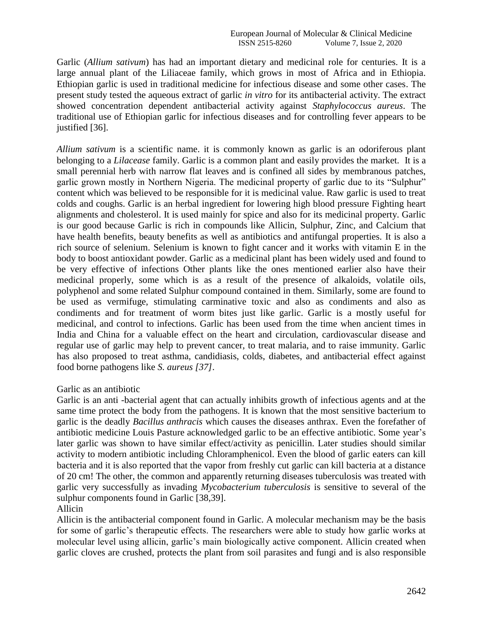Garlic (*Allium sativum*) has had an important dietary and medicinal role for centuries. It is a large annual plant of the Liliaceae family, which grows in most of Africa and in Ethiopia. Ethiopian garlic is used in traditional medicine for infectious disease and some other cases. The present study tested the aqueous extract of garlic *in vitro* for its antibacterial activity. The extract showed concentration dependent antibacterial activity against *Staphylococcus aureus*. The traditional use of Ethiopian garlic for infectious diseases and for controlling fever appears to be justified [36].

*Allium sativum* is a scientific name. it is commonly known as garlic is an odoriferous plant belonging to a *Lilacease* family. Garlic is a common plant and easily provides the market. It is a small perennial herb with narrow flat leaves and is confined all sides by membranous patches, garlic grown mostly in Northern Nigeria. The medicinal property of garlic due to its "Sulphur" content which was believed to be responsible for it is medicinal value. Raw garlic is used to treat colds and coughs. Garlic is an herbal ingredient for lowering high blood pressure Fighting heart alignments and cholesterol. It is used mainly for spice and also for its medicinal property. Garlic is our good because Garlic is rich in compounds like Allicin, Sulphur, Zinc, and Calcium that have health benefits, beauty benefits as well as antibiotics and antifungal properties. It is also a rich source of selenium. Selenium is known to fight cancer and it works with vitamin E in the body to boost antioxidant powder. Garlic as a medicinal plant has been widely used and found to be very effective of infections Other plants like the ones mentioned earlier also have their medicinal properly, some which is as a result of the presence of alkaloids, volatile oils, polyphenol and some related Sulphur compound contained in them. Similarly, some are found to be used as vermifuge, stimulating carminative toxic and also as condiments and also as condiments and for treatment of worm bites just like garlic. Garlic is a mostly useful for medicinal, and control to infections. Garlic has been used from the time when ancient times in India and China for a valuable effect on the heart and circulation, cardiovascular disease and regular use of garlic may help to prevent cancer, to treat malaria, and to raise immunity. Garlic has also proposed to treat asthma, candidiasis, colds, diabetes, and antibacterial effect against food borne pathogens like *S. aureus [37]*.

## Garlic as an antibiotic

Garlic is an anti -bacterial agent that can actually inhibits growth of infectious agents and at the same time protect the body from the pathogens. It is known that the most sensitive bacterium to garlic is the deadly *Bacillus anthracis* which causes the diseases anthrax. Even the forefather of antibiotic medicine Louis Pasture acknowledged garlic to be an effective antibiotic. Some year"s later garlic was shown to have similar effect/activity as penicillin. Later studies should similar activity to modern antibiotic including Chloramphenicol. Even the blood of garlic eaters can kill bacteria and it is also reported that the vapor from freshly cut garlic can kill bacteria at a distance of 20 cm! The other, the common and apparently returning diseases tuberculosis was treated with garlic very successfully as invading *Mycobacterium tuberculosis* is sensitive to several of the sulphur components found in Garlic [38,39].

## Allicin

Allicin is the antibacterial component found in Garlic. A molecular mechanism may be the basis for some of garlic"s therapeutic effects. The researchers were able to study how garlic works at molecular level using allicin, garlic"s main biologically active component. Allicin created when garlic cloves are crushed, protects the plant from soil parasites and fungi and is also responsible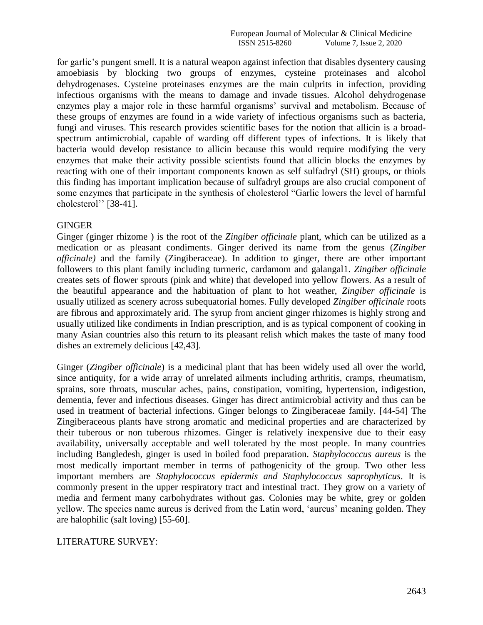for garlic"s pungent smell. It is a natural weapon against infection that disables dysentery causing amoebiasis by blocking two groups of enzymes, cysteine proteinases and alcohol dehydrogenases. Cysteine proteinases enzymes are the main culprits in infection, providing infectious organisms with the means to damage and invade tissues. Alcohol dehydrogenase enzymes play a major role in these harmful organisms' survival and metabolism. Because of these groups of enzymes are found in a wide variety of infectious organisms such as bacteria, fungi and viruses. This research provides scientific bases for the notion that allicin is a broadspectrum antimicrobial, capable of warding off different types of infections. It is likely that bacteria would develop resistance to allicin because this would require modifying the very enzymes that make their activity possible scientists found that allicin blocks the enzymes by reacting with one of their important components known as self sulfadryl (SH) groups, or thiols this finding has important implication because of sulfadryl groups are also crucial component of some enzymes that participate in the synthesis of cholesterol "Garlic lowers the level of harmful cholesterol" [38-41].

## **GINGER**

Ginger (ginger rhizome ) is the root of the *Zingiber officinale* plant, which can be utilized as a medication or as pleasant condiments. Ginger derived its name from the genus (*Zingiber officinale)* and the family (Zingiberaceae). In addition to ginger, there are other important followers to this plant family including turmeric, cardamom and galangal1. *Zingiber officinale*  creates sets of flower sprouts (pink and white) that developed into yellow flowers. As a result of the beautiful appearance and the habituation of plant to hot weather, *Zingiber officinale* is usually utilized as scenery across subequatorial homes. Fully developed *Zingiber officinale* roots are fibrous and approximately arid. The syrup from ancient ginger rhizomes is highly strong and usually utilized like condiments in Indian prescription, and is as typical component of cooking in many Asian countries also this return to its pleasant relish which makes the taste of many food dishes an extremely delicious [42,43].

Ginger (*Zingiber officinale*) is a medicinal plant that has been widely used all over the world, since antiquity, for a wide array of unrelated ailments including arthritis, cramps, rheumatism, sprains, sore throats, muscular aches, pains, constipation, vomiting, hypertension, indigestion, dementia, fever and infectious diseases. Ginger has direct antimicrobial activity and thus can be used in treatment of bacterial infections. Ginger belongs to Zingiberaceae family. [44-54] The Zingiberaceous plants have strong aromatic and medicinal properties and are characterized by their tuberous or non tuberous rhizomes. Ginger is relatively inexpensive due to their easy availability, universally acceptable and well tolerated by the most people. In many countries including Bangledesh, ginger is used in boiled food preparation. *Staphylococcus aureus* is the most medically important member in terms of pathogenicity of the group. Two other less important members are *Staphylococcus epidermis and Staphylococcus saprophyticus*. It is commonly present in the upper respiratory tract and intestinal tract. They grow on a variety of media and ferment many carbohydrates without gas. Colonies may be white, grey or golden yellow. The species name aureus is derived from the Latin word, "aureus" meaning golden. They are halophilic (salt loving) [55-60].

# LITERATURE SURVEY: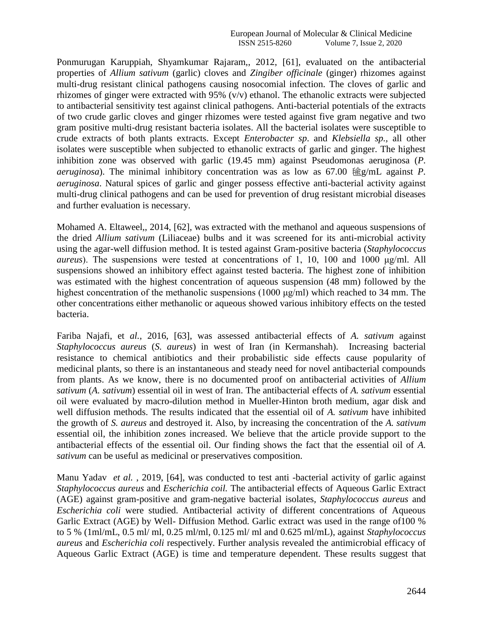Ponmurugan Karuppiah, Shyamkumar Rajaram,, 2012, [61], evaluated on the antibacterial properties of *Allium sativum* (garlic) cloves and *Zingiber officinale* (ginger) rhizomes against multi-drug resistant clinical pathogens causing nosocomial infection. The cloves of garlic and rhizomes of ginger were extracted with 95% (v/v) ethanol. The ethanolic extracts were subjected to antibacterial sensitivity test against clinical pathogens. Anti-bacterial potentials of the extracts of two crude garlic cloves and ginger rhizomes were tested against five gram negative and two gram positive multi-drug resistant bacteria isolates. All the bacterial isolates were susceptible to crude extracts of both plants extracts. Except *Enterobacter sp*. and *Klebsiella sp.,* all other isolates were susceptible when subjected to ethanolic extracts of garlic and ginger. The highest inhibition zone was observed with garlic (19.45 mm) against Pseudomonas aeruginosa (*P. aeruginosa*). The minimal inhibitory concentration was as low as  $67.00 \frac{\text{deg}}{\text{deg}}$  against *P*. *aeruginosa*. Natural spices of garlic and ginger possess effective anti-bacterial activity against multi-drug clinical pathogens and can be used for prevention of drug resistant microbial diseases and further evaluation is necessary.

Mohamed A. Eltaweel,, 2014, [62], was extracted with the methanol and aqueous suspensions of the dried *Allium sativum* (Liliaceae) bulbs and it was screened for its anti-microbial activity using the agar-well diffusion method. It is tested against Gram-positive bacteria (*Staphylococcus aureus*). The suspensions were tested at concentrations of 1, 10, 100 and 1000 μg/ml. All suspensions showed an inhibitory effect against tested bacteria. The highest zone of inhibition was estimated with the highest concentration of aqueous suspension (48 mm) followed by the highest concentration of the methanolic suspensions (1000 μg/ml) which reached to 34 mm. The other concentrations either methanolic or aqueous showed various inhibitory effects on the tested bacteria.

Fariba Najafi, et *al.*, 2016, [63], was assessed antibacterial effects of *A. sativum* against *Staphylococcus aureus* (*S. aureus*) in west of Iran (in Kermanshah). Increasing bacterial resistance to chemical antibiotics and their probabilistic side effects cause popularity of medicinal plants, so there is an instantaneous and steady need for novel antibacterial compounds from plants. As we know, there is no documented proof on antibacterial activities of *Allium sativum* (*A. sativum*) essential oil in west of Iran. The antibacterial effects of *A. sativum* essential oil were evaluated by macro-dilution method in Mueller-Hinton broth medium, agar disk and well diffusion methods. The results indicated that the essential oil of *A. sativum* have inhibited the growth of *S. aureus* and destroyed it. Also, by increasing the concentration of the *A. sativum*  essential oil, the inhibition zones increased. We believe that the article provide support to the antibacterial effects of the essential oil. Our finding shows the fact that the essential oil of *A. sativum* can be useful as medicinal or preservatives composition.

Manu Yadav *et al.*, 2019, [64], was conducted to test anti-bacterial activity of garlic against *Staphylococcus aureus* and *Escherichia coil.* The antibacterial effects of Aqueous Garlic Extract (AGE) against gram-positive and gram-negative bacterial isolates*, Staphylococcus aureus* and *Escherichia coli* were studied. Antibacterial activity of different concentrations of Aqueous Garlic Extract (AGE) by Well- Diffusion Method. Garlic extract was used in the range of 100 % to 5 % (1ml/mL, 0.5 ml/ ml, 0.25 ml/ml, 0.125 ml/ ml and 0.625 ml/mL), against *Staphylococcus aureus* and *Escherichia coli* respectively. Further analysis revealed the antimicrobial efficacy of Aqueous Garlic Extract (AGE) is time and temperature dependent. These results suggest that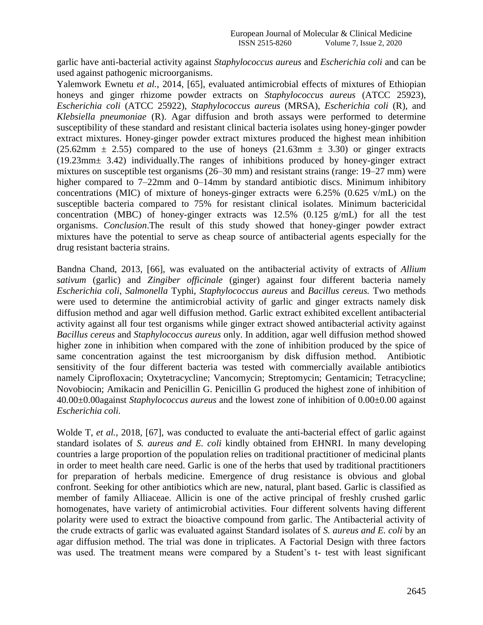garlic have anti-bacterial activity against *Staphylococcus aureus* and *Escherichia coli* and can be used against pathogenic microorganisms.

Yalemwork Ewnetu *et al.*, 2014, [65], evaluated antimicrobial effects of mixtures of Ethiopian honeys and ginger rhizome powder extracts on *Staphylococcus aureus* (ATCC 25923), *Escherichia coli* (ATCC 25922), *Staphylococcus aureus* (MRSA), *Escherichia coli* (R), and *Klebsiella pneumoniae* (R). Agar diffusion and broth assays were performed to determine susceptibility of these standard and resistant clinical bacteria isolates using honey-ginger powder extract mixtures. Honey-ginger powder extract mixtures produced the highest mean inhibition  $(25.62 \text{mm} \pm 2.55)$  compared to the use of honeys  $(21.63 \text{mm} \pm 3.30)$  or ginger extracts (19.23mm± 3.42) individually.The ranges of inhibitions produced by honey-ginger extract mixtures on susceptible test organisms (26–30 mm) and resistant strains (range: 19–27 mm) were higher compared to 7–22mm and 0–14mm by standard antibiotic discs. Minimum inhibitory concentrations (MIC) of mixture of honeys-ginger extracts were 6.25% (0.625 v/mL) on the susceptible bacteria compared to 75% for resistant clinical isolates. Minimum bactericidal concentration (MBC) of honey-ginger extracts was 12.5% (0.125 g/mL) for all the test organisms. *Conclusion*.The result of this study showed that honey-ginger powder extract mixtures have the potential to serve as cheap source of antibacterial agents especially for the drug resistant bacteria strains.

Bandna Chand, 2013, [66], was evaluated on the antibacterial activity of extracts of *Allium sativum* (garlic) and *Zingiber officinale* (ginger) against four different bacteria namely *Escherichia coli*, *Salmonella* Typhi, *Staphylococcus aureus* and *Bacillus cereus.* Two methods were used to determine the antimicrobial activity of garlic and ginger extracts namely disk diffusion method and agar well diffusion method. Garlic extract exhibited excellent antibacterial activity against all four test organisms while ginger extract showed antibacterial activity against *Bacillus cereus* and *Staphylococcus aureus* only. In addition, agar well diffusion method showed higher zone in inhibition when compared with the zone of inhibition produced by the spice of same concentration against the test microorganism by disk diffusion method. Antibiotic sensitivity of the four different bacteria was tested with commercially available antibiotics namely Ciprofloxacin; Oxytetracycline; Vancomycin; Streptomycin; Gentamicin; Tetracycline; Novobiocin; Amikacin and Penicillin G. Penicillin G produced the highest zone of inhibition of 40.00±0.00against *Staphylococcus aureus* and the lowest zone of inhibition of 0.00±0.00 against *Escherichia coli.*

Wolde T, *et al.*, 2018, [67], was conducted to evaluate the anti-bacterial effect of garlic against standard isolates of *S. aureus and E. coli* kindly obtained from EHNRI. In many developing countries a large proportion of the population relies on traditional practitioner of medicinal plants in order to meet health care need. Garlic is one of the herbs that used by traditional practitioners for preparation of herbals medicine. Emergence of drug resistance is obvious and global confront. Seeking for other antibiotics which are new, natural, plant based. Garlic is classified as member of family Alliaceae. Allicin is one of the active principal of freshly crushed garlic homogenates, have variety of antimicrobial activities. Four different solvents having different polarity were used to extract the bioactive compound from garlic. The Antibacterial activity of the crude extracts of garlic was evaluated against Standard isolates of *S. aureus and E. coli* by an agar diffusion method. The trial was done in triplicates. A Factorial Design with three factors was used. The treatment means were compared by a Student's t- test with least significant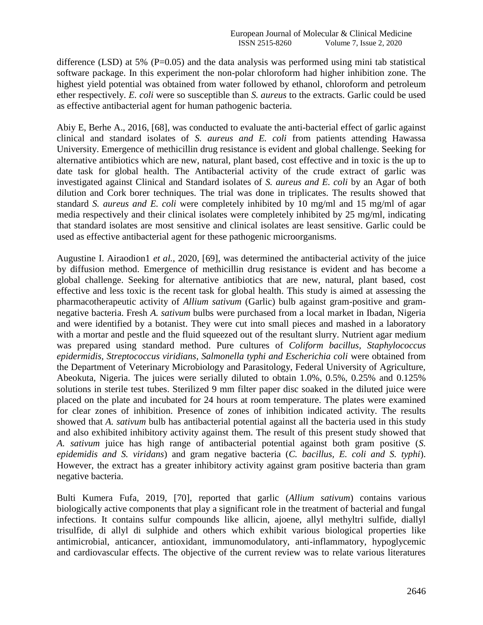difference (LSD) at 5% ( $P=0.05$ ) and the data analysis was performed using mini tab statistical software package. In this experiment the non-polar chloroform had higher inhibition zone. The highest yield potential was obtained from water followed by ethanol, chloroform and petroleum ether respectively. *E. coli* were so susceptible than *S. aureus* to the extracts. Garlic could be used as effective antibacterial agent for human pathogenic bacteria.

Abiy E, Berhe A., 2016, [68], was conducted to evaluate the anti-bacterial effect of garlic against clinical and standard isolates of *S. aureus and E. coli* from patients attending Hawassa University. Emergence of methicillin drug resistance is evident and global challenge. Seeking for alternative antibiotics which are new, natural, plant based, cost effective and in toxic is the up to date task for global health. The Antibacterial activity of the crude extract of garlic was investigated against Clinical and Standard isolates of *S. aureus and E. coli* by an Agar of both dilution and Cork borer techniques. The trial was done in triplicates. The results showed that standard *S. aureus and E. coli* were completely inhibited by 10 mg/ml and 15 mg/ml of agar media respectively and their clinical isolates were completely inhibited by 25 mg/ml, indicating that standard isolates are most sensitive and clinical isolates are least sensitive. Garlic could be used as effective antibacterial agent for these pathogenic microorganisms.

Augustine I. Airaodion1 *et al.*, 2020, [69], was determined the antibacterial activity of the juice by diffusion method. Emergence of methicillin drug resistance is evident and has become a global challenge. Seeking for alternative antibiotics that are new, natural, plant based, cost effective and less toxic is the recent task for global health. This study is aimed at assessing the pharmacotherapeutic activity of *Allium sativum* (Garlic) bulb against gram-positive and gramnegative bacteria. Fresh *A. sativum* bulbs were purchased from a local market in Ibadan, Nigeria and were identified by a botanist. They were cut into small pieces and mashed in a laboratory with a mortar and pestle and the fluid squeezed out of the resultant slurry. Nutrient agar medium was prepared using standard method. Pure cultures of *Coliform bacillus, Staphylococcus epidermidis, Streptococcus viridians, Salmonella typhi and Escherichia coli* were obtained from the Department of Veterinary Microbiology and Parasitology, Federal University of Agriculture, Abeokuta, Nigeria. The juices were serially diluted to obtain 1.0%, 0.5%, 0.25% and 0.125% solutions in sterile test tubes. Sterilized 9 mm filter paper disc soaked in the diluted juice were placed on the plate and incubated for 24 hours at room temperature. The plates were examined for clear zones of inhibition. Presence of zones of inhibition indicated activity. The results showed that *A. sativum* bulb has antibacterial potential against all the bacteria used in this study and also exhibited inhibitory activity against them. The result of this present study showed that *A. sativum* juice has high range of antibacterial potential against both gram positive (*S. epidemidis and S. viridans*) and gram negative bacteria (*C. bacillus, E. coli and S. typhi*). However, the extract has a greater inhibitory activity against gram positive bacteria than gram negative bacteria.

Bulti Kumera Fufa, 2019, [70], reported that garlic (*Allium sativum*) contains various biologically active components that play a significant role in the treatment of bacterial and fungal infections. It contains sulfur compounds like allicin, ajoene, allyl methyltri sulfide, diallyl trisulfide, di allyl di sulphide and others which exhibit various biological properties like antimicrobial, anticancer, antioxidant, immunomodulatory, anti-inflammatory, hypoglycemic and cardiovascular effects. The objective of the current review was to relate various literatures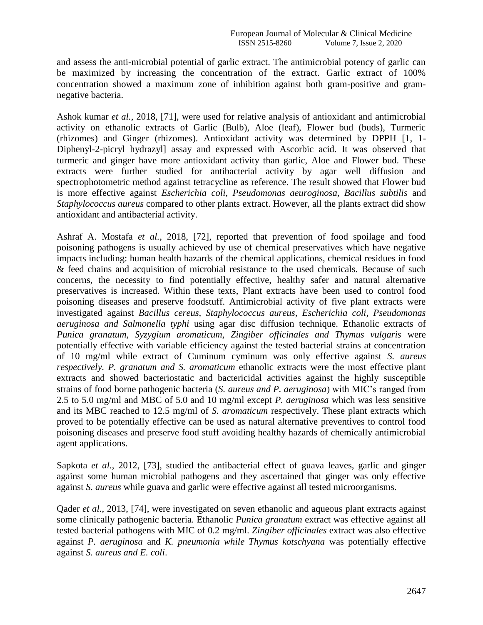and assess the anti-microbial potential of garlic extract. The antimicrobial potency of garlic can be maximized by increasing the concentration of the extract. Garlic extract of 100% concentration showed a maximum zone of inhibition against both gram-positive and gramnegative bacteria.

Ashok kumar *et al.*, 2018, [71], were used for relative analysis of antioxidant and antimicrobial activity on ethanolic extracts of Garlic (Bulb), Aloe (leaf), Flower bud (buds), Turmeric (rhizomes) and Ginger (rhizomes). Antioxidant activity was determined by DPPH [1, 1- Diphenyl-2-picryl hydrazyl] assay and expressed with Ascorbic acid. It was observed that turmeric and ginger have more antioxidant activity than garlic, Aloe and Flower bud. These extracts were further studied for antibacterial activity by agar well diffusion and spectrophotometric method against tetracycline as reference. The result showed that Flower bud is more effective against *Escherichia coli, Pseudomonas aeuroginosa, Bacillus subtilis* and *Staphylococcus aureus* compared to other plants extract. However, all the plants extract did show antioxidant and antibacterial activity.

Ashraf A. Mostafa *et al.*, 2018, [72], reported that prevention of food spoilage and food poisoning pathogens is usually achieved by use of chemical preservatives which have negative impacts including: human health hazards of the chemical applications, chemical residues in food & feed chains and acquisition of microbial resistance to the used chemicals. Because of such concerns, the necessity to find potentially effective, healthy safer and natural alternative preservatives is increased. Within these texts, Plant extracts have been used to control food poisoning diseases and preserve foodstuff. Antimicrobial activity of five plant extracts were investigated against *Bacillus cereus, Staphylococcus aureus, Escherichia coli, Pseudomonas aeruginosa and Salmonella typhi* using agar disc diffusion technique. Ethanolic extracts of *Punica granatum, Syzygium aromaticum, Zingiber officinales and Thymus vulgaris* were potentially effective with variable efficiency against the tested bacterial strains at concentration of 10 mg/ml while extract of Cuminum cyminum was only effective against *S. aureus respectively. P. granatum and S. aromaticum* ethanolic extracts were the most effective plant extracts and showed bacteriostatic and bactericidal activities against the highly susceptible strains of food borne pathogenic bacteria (*S. aureus and P. aeruginosa*) with MIC"s ranged from 2.5 to 5.0 mg/ml and MBC of 5.0 and 10 mg/ml except *P. aeruginosa* which was less sensitive and its MBC reached to 12.5 mg/ml of *S. aromaticum* respectively. These plant extracts which proved to be potentially effective can be used as natural alternative preventives to control food poisoning diseases and preserve food stuff avoiding healthy hazards of chemically antimicrobial agent applications.

Sapkota *et al.*, 2012, [73], studied the antibacterial effect of guava leaves, garlic and ginger against some human microbial pathogens and they ascertained that ginger was only effective against *S. aureus* while guava and garlic were effective against all tested microorganisms.

Qader *et al.*, 2013, [74], were investigated on seven ethanolic and aqueous plant extracts against some clinically pathogenic bacteria. Ethanolic *Punica granatum* extract was effective against all tested bacterial pathogens with MIC of 0.2 mg/ml. *Zingiber officinales* extract was also effective against *P. aeruginosa* and *K. pneumonia while Thymus kotschyana* was potentially effective against *S. aureus and E. coli*.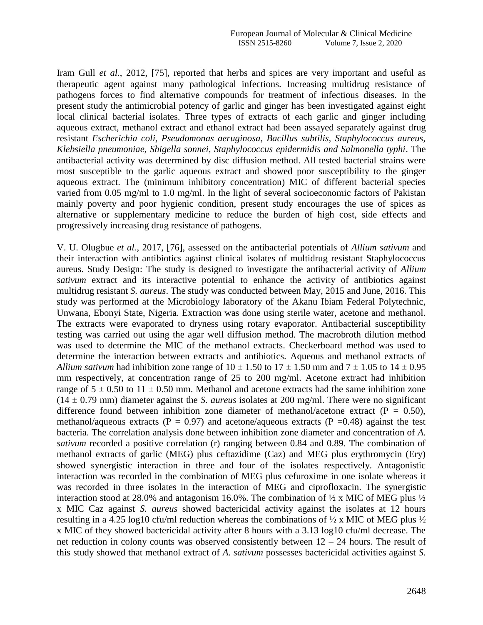Iram Gull *et al.*, 2012, [75], reported that herbs and spices are very important and useful as therapeutic agent against many pathological infections. Increasing multidrug resistance of pathogens forces to find alternative compounds for treatment of infectious diseases. In the present study the antimicrobial potency of garlic and ginger has been investigated against eight local clinical bacterial isolates. Three types of extracts of each garlic and ginger including aqueous extract, methanol extract and ethanol extract had been assayed separately against drug resistant *Escherichia coli, Pseudomonas aeruginosa, Bacillus subtilis, Staphylococcus aureus, Klebsiella pneumoniae, Shigella sonnei, Staphylococcus epidermidis and Salmonella typhi*. The antibacterial activity was determined by disc diffusion method. All tested bacterial strains were most susceptible to the garlic aqueous extract and showed poor susceptibility to the ginger aqueous extract. The (minimum inhibitory concentration) MIC of different bacterial species varied from 0.05 mg/ml to 1.0 mg/ml. In the light of several socioeconomic factors of Pakistan mainly poverty and poor hygienic condition, present study encourages the use of spices as alternative or supplementary medicine to reduce the burden of high cost, side effects and progressively increasing drug resistance of pathogens.

V. U. Olugbue *et al.*, 2017, [76], assessed on the antibacterial potentials of *Allium sativum* and their interaction with antibiotics against clinical isolates of multidrug resistant Staphylococcus aureus. Study Design: The study is designed to investigate the antibacterial activity of *Allium sativum* extract and its interactive potential to enhance the activity of antibiotics against multidrug resistant *S. aureus*. The study was conducted between May, 2015 and June, 2016. This study was performed at the Microbiology laboratory of the Akanu Ibiam Federal Polytechnic, Unwana, Ebonyi State, Nigeria. Extraction was done using sterile water, acetone and methanol. The extracts were evaporated to dryness using rotary evaporator. Antibacterial susceptibility testing was carried out using the agar well diffusion method. The macrobroth dilution method was used to determine the MIC of the methanol extracts. Checkerboard method was used to determine the interaction between extracts and antibiotics. Aqueous and methanol extracts of *Allium sativum* had inhibition zone range of  $10 \pm 1.50$  to  $17 \pm 1.50$  mm and  $7 \pm 1.05$  to  $14 \pm 0.95$ mm respectively, at concentration range of 25 to 200 mg/ml. Acetone extract had inhibition range of  $5 \pm 0.50$  to  $11 \pm 0.50$  mm. Methanol and acetone extracts had the same inhibition zone  $(14 \pm 0.79 \text{ mm})$  diameter against the *S. aureus* isolates at 200 mg/ml. There were no significant difference found between inhibition zone diameter of methanol/acetone extract ( $P = 0.50$ ), methanol/aqueous extracts ( $P = 0.97$ ) and acetone/aqueous extracts ( $P = 0.48$ ) against the test bacteria. The correlation analysis done between inhibition zone diameter and concentration of *A. sativum* recorded a positive correlation (r) ranging between 0.84 and 0.89. The combination of methanol extracts of garlic (MEG) plus ceftazidime (Caz) and MEG plus erythromycin (Ery) showed synergistic interaction in three and four of the isolates respectively. Antagonistic interaction was recorded in the combination of MEG plus cefuroxime in one isolate whereas it was recorded in three isolates in the interaction of MEG and ciprofloxacin. The synergistic interaction stood at 28.0% and antagonism 16.0%. The combination of  $\frac{1}{2}$  x MIC of MEG plus  $\frac{1}{2}$ x MIC Caz against *S. aureus* showed bactericidal activity against the isolates at 12 hours resulting in a 4.25 log10 cfu/ml reduction whereas the combinations of  $\frac{1}{2}$  x MIC of MEG plus  $\frac{1}{2}$ x MIC of they showed bactericidal activity after 8 hours with a 3.13 log10 cfu/ml decrease. The net reduction in colony counts was observed consistently between 12 – 24 hours. The result of this study showed that methanol extract of *A. sativum* possesses bactericidal activities against *S.*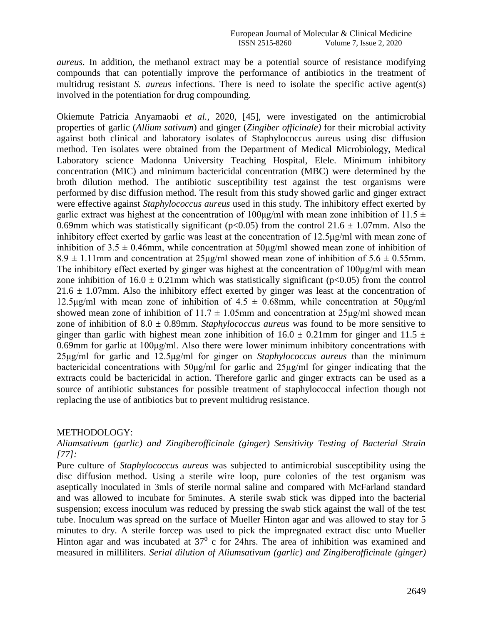*aureus*. In addition, the methanol extract may be a potential source of resistance modifying compounds that can potentially improve the performance of antibiotics in the treatment of multidrug resistant *S. aureus* infections. There is need to isolate the specific active agent(s) involved in the potentiation for drug compounding.

Okiemute Patricia Anyamaobi *et al.*, 2020, [45], were investigated on the antimicrobial properties of garlic (*Allium sativum*) and ginger (*Zingiber officinale)* for their microbial activity against both clinical and laboratory isolates of Staphylococcus aureus using disc diffusion method. Ten isolates were obtained from the Department of Medical Microbiology, Medical Laboratory science Madonna University Teaching Hospital, Elele. Minimum inhibitory concentration (MIC) and minimum bactericidal concentration (MBC) were determined by the broth dilution method. The antibiotic susceptibility test against the test organisms were performed by disc diffusion method. The result from this study showed garlic and ginger extract were effective against *Staphylococcus aureus* used in this study. The inhibitory effect exerted by garlic extract was highest at the concentration of  $100\mu\text{g/ml}$  with mean zone inhibition of  $11.5 \pm$ 0.69mm which was statistically significant ( $p<0.05$ ) from the control 21.6  $\pm$  1.07mm. Also the inhibitory effect exerted by garlic was least at the concentration of 12.5μg/ml with mean zone of inhibition of  $3.5 \pm 0.46$ mm, while concentration at  $50\mu\text{g/ml}$  showed mean zone of inhibition of  $8.9 \pm 1.11$  mm and concentration at  $25\mu\text{g/ml}$  showed mean zone of inhibition of  $5.6 \pm 0.55$  mm. The inhibitory effect exerted by ginger was highest at the concentration of 100μg/ml with mean zone inhibition of  $16.0 \pm 0.21$  mm which was statistically significant (p<0.05) from the control  $21.6 \pm 1.07$  mm. Also the inhibitory effect exerted by ginger was least at the concentration of 12.5μg/ml with mean zone of inhibition of  $4.5 \pm 0.68$ mm, while concentration at  $50\mu\text{g/ml}$ showed mean zone of inhibition of  $11.7 \pm 1.05$ mm and concentration at  $25\mu g/ml$  showed mean zone of inhibition of  $8.0 \pm 0.89$ mm. *Staphylococcus aureus* was found to be more sensitive to ginger than garlic with highest mean zone inhibition of  $16.0 \pm 0.21$  mm for ginger and  $11.5 \pm 1.5$ 0.69mm for garlic at 100μg/ml. Also there were lower minimum inhibitory concentrations with 25μg/ml for garlic and 12.5μg/ml for ginger on *Staphylococcus aureus* than the minimum bactericidal concentrations with 50μg/ml for garlic and 25μg/ml for ginger indicating that the extracts could be bactericidal in action. Therefore garlic and ginger extracts can be used as a source of antibiotic substances for possible treatment of staphylococcal infection though not replacing the use of antibiotics but to prevent multidrug resistance.

## METHODOLOGY:

# *Aliumsativum (garlic) and Zingiberofficinale (ginger) Sensitivity Testing of Bacterial Strain [77]:*

Pure culture of *Staphylococcus aureus* was subjected to antimicrobial susceptibility using the disc diffusion method. Using a sterile wire loop, pure colonies of the test organism was aseptically inoculated in 3mls of sterile normal saline and compared with McFarland standard and was allowed to incubate for 5minutes. A sterile swab stick was dipped into the bacterial suspension; excess inoculum was reduced by pressing the swab stick against the wall of the test tube. Inoculum was spread on the surface of Mueller Hinton agar and was allowed to stay for 5 minutes to dry. A sterile forcep was used to pick the impregnated extract disc unto Mueller Hinton agar and was incubated at  $37<sup>0</sup>$  c for 24hrs. The area of inhibition was examined and measured in milliliters. *Serial dilution of Aliumsativum (garlic) and Zingiberofficinale (ginger)*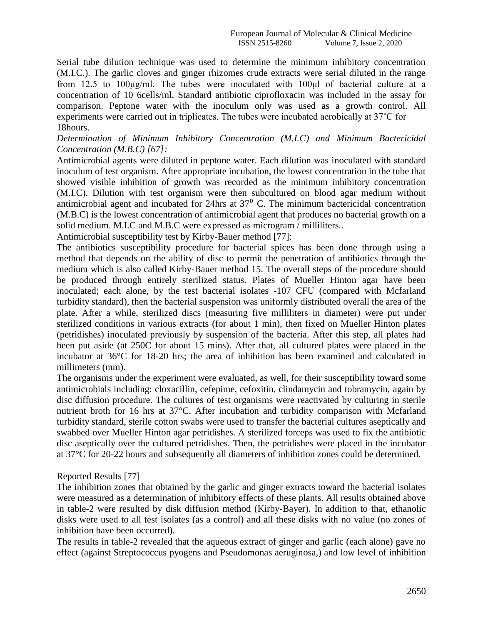Serial tube dilution technique was used to determine the minimum inhibitory concentration (M.I.C.). The garlic cloves and ginger rhizomes crude extracts were serial diluted in the range from 12.5 to 100μg/ml. The tubes were inoculated with 100μl of bacterial culture at a concentration of 10 6cells/ml. Standard antibiotic ciprofloxacin was included in the assay for comparison. Peptone water with the inoculum only was used as a growth control. All experiments were carried out in triplicates. The tubes were incubated aerobically at 37˚C for 18hours.

# *Determination of Minimum Inhibitory Concentration (M.I.C) and Minimum Bactericidal Concentration (M.B.C) [67]:*

Antimicrobial agents were diluted in peptone water. Each dilution was inoculated with standard inoculum of test organism. After appropriate incubation, the lowest concentration in the tube that showed visible inhibition of growth was recorded as the minimum inhibitory concentration (M.I.C). Dilution with test organism were then subcultured on blood agar medium without antimicrobial agent and incubated for 24hrs at  $37<sup>0</sup>$  C. The minimum bactericidal concentration (M.B.C) is the lowest concentration of antimicrobial agent that produces no bacterial growth on a solid medium. M.I.C and M.B.C were expressed as microgram / milliliters..

Antimicrobial susceptibility test by Kirby-Bauer method [77]:

The antibiotics susceptibility procedure for bacterial spices has been done through using a method that depends on the ability of disc to permit the penetration of antibiotics through the medium which is also called Kirby-Bauer method 15. The overall steps of the procedure should be produced through entirely sterilized status. Plates of Mueller Hinton agar have been inoculated; each alone, by the test bacterial isolates -107 CFU (compared with Mcfarland turbidity standard), then the bacterial suspension was uniformly distributed overall the area of the plate. After a while, sterilized discs (measuring five milliliters in diameter) were put under sterilized conditions in various extracts (for about 1 min), then fixed on Mueller Hinton plates (petridishes) inoculated previously by suspension of the bacteria. After this step, all plates had been put aside (at 250C for about 15 mins). After that, all cultured plates were placed in the incubator at 36°C for 18-20 hrs; the area of inhibition has been examined and calculated in millimeters (mm).

The organisms under the experiment were evaluated, as well, for their susceptibility toward some antimicrobials including: cloxacillin, cefepime, cefoxitin, clindamycin and tobramycin, again by disc diffusion procedure. The cultures of test organisms were reactivated by culturing in sterile nutrient broth for 16 hrs at 37°C. After incubation and turbidity comparison with Mcfarland turbidity standard, sterile cotton swabs were used to transfer the bacterial cultures aseptically and swabbed over Mueller Hinton agar petridishes. A sterilized forceps was used to fix the antibiotic disc aseptically over the cultured petridishes. Then, the petridishes were placed in the incubator at 37°C for 20-22 hours and subsequently all diameters of inhibition zones could be determined.

# Reported Results [77]

The inhibition zones that obtained by the garlic and ginger extracts toward the bacterial isolates were measured as a determination of inhibitory effects of these plants. All results obtained above in table-2 were resulted by disk diffusion method (Kirby-Bayer). In addition to that, ethanolic disks were used to all test isolates (as a control) and all these disks with no value (no zones of inhibition have been occurred).

The results in table-2 revealed that the aqueous extract of ginger and garlic (each alone) gave no effect (against Streptococcus pyogens and Pseudomonas aeruginosa,) and low level of inhibition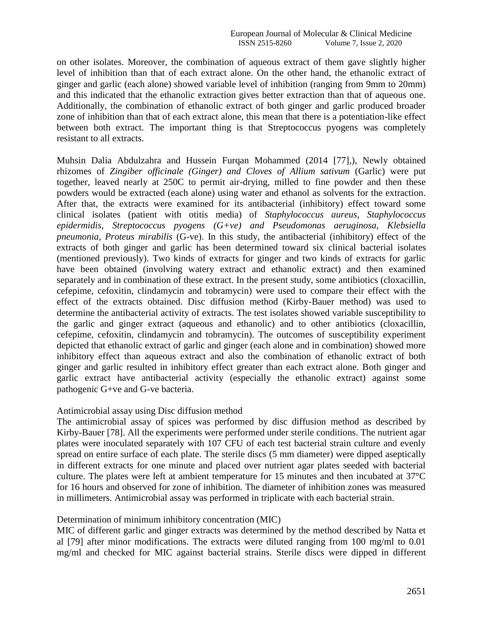on other isolates. Moreover, the combination of aqueous extract of them gave slightly higher level of inhibition than that of each extract alone. On the other hand, the ethanolic extract of ginger and garlic (each alone) showed variable level of inhibition (ranging from 9mm to 20mm) and this indicated that the ethanolic extraction gives better extraction than that of aqueous one. Additionally, the combination of ethanolic extract of both ginger and garlic produced broader zone of inhibition than that of each extract alone, this mean that there is a potentiation-like effect between both extract. The important thing is that Streptococcus pyogens was completely resistant to all extracts.

Muhsin Dalia Abdulzahra and Hussein Furqan Mohammed (2014 [77],), Newly obtained rhizomes of *Zingiber officinale (Ginger) and Cloves of Allium sativum* (Garlic) were put together, leaved nearly at 250C to permit air-drying, milled to fine powder and then these powders would be extracted (each alone) using water and ethanol as solvents for the extraction. After that, the extracts were examined for its antibacterial (inhibitory) effect toward some clinical isolates (patient with otitis media) of *Staphylococcus aureus, Staphylococcus epidermidis, Streptococcus pyogens (G+ve) and Pseudomonas aeruginosa, Klebsiella pneumonia, Proteus mirabilis* (G-ve). In this study, the antibacterial (inhibitory) effect of the extracts of both ginger and garlic has been determined toward six clinical bacterial isolates (mentioned previously). Two kinds of extracts for ginger and two kinds of extracts for garlic have been obtained (involving watery extract and ethanolic extract) and then examined separately and in combination of these extract. In the present study, some antibiotics (cloxacillin, cefepime, cefoxitin, clindamycin and tobramycin) were used to compare their effect with the effect of the extracts obtained. Disc diffusion method (Kirby-Bauer method) was used to determine the antibacterial activity of extracts. The test isolates showed variable susceptibility to the garlic and ginger extract (aqueous and ethanolic) and to other antibiotics (cloxacillin, cefepime, cefoxitin, clindamycin and tobramycin). The outcomes of susceptibility experiment depicted that ethanolic extract of garlic and ginger (each alone and in combination) showed more inhibitory effect than aqueous extract and also the combination of ethanolic extract of both ginger and garlic resulted in inhibitory effect greater than each extract alone. Both ginger and garlic extract have antibacterial activity (especially the ethanolic extract) against some pathogenic G+ve and G-ve bacteria.

## Antimicrobial assay using Disc diffusion method

The antimicrobial assay of spices was performed by disc diffusion method as described by Kirby-Bauer [78]. All the experiments were performed under sterile conditions. The nutrient agar plates were inoculated separately with 107 CFU of each test bacterial strain culture and evenly spread on entire surface of each plate. The sterile discs (5 mm diameter) were dipped aseptically in different extracts for one minute and placed over nutrient agar plates seeded with bacterial culture. The plates were left at ambient temperature for 15 minutes and then incubated at 37°C for 16 hours and observed for zone of inhibition. The diameter of inhibition zones was measured in millimeters. Antimicrobial assay was performed in triplicate with each bacterial strain.

# Determination of minimum inhibitory concentration (MIC)

MIC of different garlic and ginger extracts was determined by the method described by Natta et al [79] after minor modifications. The extracts were diluted ranging from 100 mg/ml to 0.01 mg/ml and checked for MIC against bacterial strains. Sterile discs were dipped in different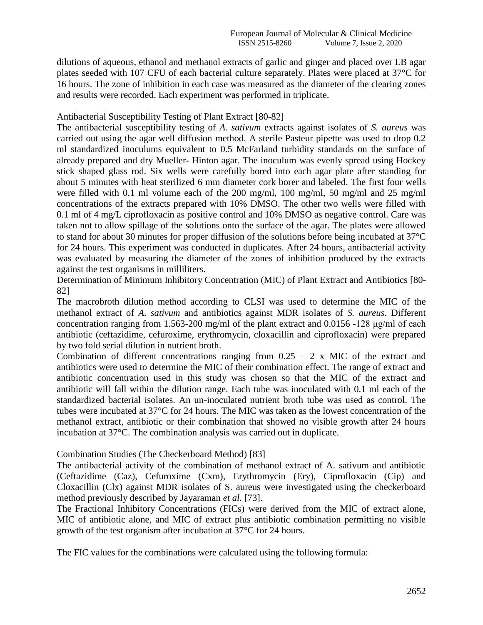dilutions of aqueous, ethanol and methanol extracts of garlic and ginger and placed over LB agar plates seeded with 107 CFU of each bacterial culture separately. Plates were placed at 37°C for 16 hours. The zone of inhibition in each case was measured as the diameter of the clearing zones and results were recorded. Each experiment was performed in triplicate.

# Antibacterial Susceptibility Testing of Plant Extract [80-82]

The antibacterial susceptibility testing of *A. sativum* extracts against isolates of *S. aureus* was carried out using the agar well diffusion method. A sterile Pasteur pipette was used to drop 0.2 ml standardized inoculums equivalent to 0.5 McFarland turbidity standards on the surface of already prepared and dry Mueller- Hinton agar. The inoculum was evenly spread using Hockey stick shaped glass rod. Six wells were carefully bored into each agar plate after standing for about 5 minutes with heat sterilized 6 mm diameter cork borer and labeled. The first four wells were filled with 0.1 ml volume each of the 200 mg/ml, 100 mg/ml, 50 mg/ml and 25 mg/ml concentrations of the extracts prepared with 10% DMSO. The other two wells were filled with 0.1 ml of 4 mg/L ciprofloxacin as positive control and 10% DMSO as negative control. Care was taken not to allow spillage of the solutions onto the surface of the agar. The plates were allowed to stand for about 30 minutes for proper diffusion of the solutions before being incubated at 37°C for 24 hours. This experiment was conducted in duplicates. After 24 hours, antibacterial activity was evaluated by measuring the diameter of the zones of inhibition produced by the extracts against the test organisms in milliliters.

Determination of Minimum Inhibitory Concentration (MIC) of Plant Extract and Antibiotics [80- 82]

The macrobroth dilution method according to CLSI was used to determine the MIC of the methanol extract of *A. sativum* and antibiotics against MDR isolates of *S. aureus*. Different concentration ranging from 1.563-200 mg/ml of the plant extract and 0.0156 -128 μg/ml of each antibiotic (ceftazidime, cefuroxime, erythromycin, cloxacillin and ciprofloxacin) were prepared by two fold serial dilution in nutrient broth.

Combination of different concentrations ranging from  $0.25 - 2$  x MIC of the extract and antibiotics were used to determine the MIC of their combination effect. The range of extract and antibiotic concentration used in this study was chosen so that the MIC of the extract and antibiotic will fall within the dilution range. Each tube was inoculated with 0.1 ml each of the standardized bacterial isolates. An un-inoculated nutrient broth tube was used as control. The tubes were incubated at 37°C for 24 hours. The MIC was taken as the lowest concentration of the methanol extract, antibiotic or their combination that showed no visible growth after 24 hours incubation at 37°C. The combination analysis was carried out in duplicate.

# Combination Studies (The Checkerboard Method) [83]

The antibacterial activity of the combination of methanol extract of A. sativum and antibiotic (Ceftazidime (Caz), Cefuroxime (Cxm), Erythromycin (Ery), Ciprofloxacin (Cip) and Cloxacillin (Clx) against MDR isolates of S. aureus were investigated using the checkerboard method previously described by Jayaraman *et al.* [73].

The Fractional Inhibitory Concentrations (FICs) were derived from the MIC of extract alone, MIC of antibiotic alone, and MIC of extract plus antibiotic combination permitting no visible growth of the test organism after incubation at 37°C for 24 hours.

The FIC values for the combinations were calculated using the following formula: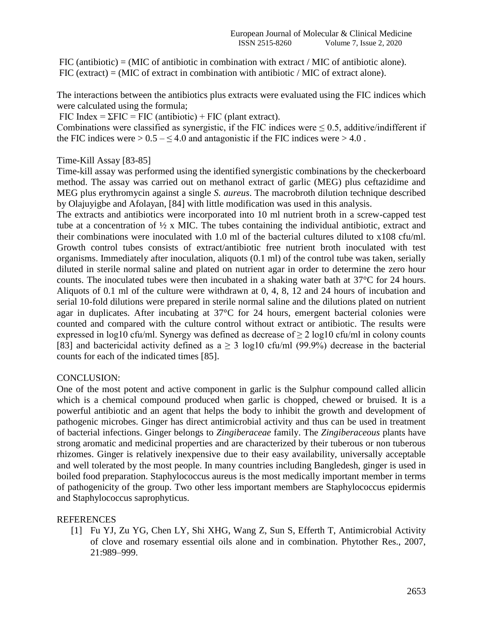FIC (antibiotic) = (MIC of antibiotic in combination with extract / MIC of antibiotic alone). FIC (extract)  $=$  (MIC of extract in combination with antibiotic / MIC of extract alone).

The interactions between the antibiotics plus extracts were evaluated using the FIC indices which were calculated using the formula;

FIC Index =  $\Sigma FIC$  = FIC (antibiotic) + FIC (plant extract).

Combinations were classified as synergistic, if the FIC indices were  $\leq 0.5$ , additive/indifferent if the FIC indices were  $> 0.5 - \leq 4.0$  and antagonistic if the FIC indices were  $> 4.0$ .

## Time-Kill Assay [83-85]

Time-kill assay was performed using the identified synergistic combinations by the checkerboard method. The assay was carried out on methanol extract of garlic (MEG) plus ceftazidime and MEG plus erythromycin against a single *S. aureus*. The macrobroth dilution technique described by Olajuyigbe and Afolayan, [84] with little modification was used in this analysis.

The extracts and antibiotics were incorporated into 10 ml nutrient broth in a screw-capped test tube at a concentration of ½ x MIC. The tubes containing the individual antibiotic, extract and their combinations were inoculated with 1.0 ml of the bacterial cultures diluted to  $x108$  cfu/ml. Growth control tubes consists of extract/antibiotic free nutrient broth inoculated with test organisms. Immediately after inoculation, aliquots (0.1 ml) of the control tube was taken, serially diluted in sterile normal saline and plated on nutrient agar in order to determine the zero hour counts. The inoculated tubes were then incubated in a shaking water bath at 37°C for 24 hours. Aliquots of 0.1 ml of the culture were withdrawn at 0, 4, 8, 12 and 24 hours of incubation and serial 10-fold dilutions were prepared in sterile normal saline and the dilutions plated on nutrient agar in duplicates. After incubating at 37°C for 24 hours, emergent bacterial colonies were counted and compared with the culture control without extract or antibiotic. The results were expressed in log10 cfu/ml. Synergy was defined as decrease of  $\geq 2 \log 10$  cfu/ml in colony counts [83] and bactericidal activity defined as  $a \ge 3 \log 10$  cfu/ml (99.9%) decrease in the bacterial counts for each of the indicated times [85].

# CONCLUSION:

One of the most potent and active component in garlic is the Sulphur compound called allicin which is a chemical compound produced when garlic is chopped, chewed or bruised. It is a powerful antibiotic and an agent that helps the body to inhibit the growth and development of pathogenic microbes. Ginger has direct antimicrobial activity and thus can be used in treatment of bacterial infections. Ginger belongs to *Zingiberaceae* family. The *Zingiberaceous* plants have strong aromatic and medicinal properties and are characterized by their tuberous or non tuberous rhizomes. Ginger is relatively inexpensive due to their easy availability, universally acceptable and well tolerated by the most people. In many countries including Bangledesh, ginger is used in boiled food preparation. Staphylococcus aureus is the most medically important member in terms of pathogenicity of the group. Two other less important members are Staphylococcus epidermis and Staphylococcus saprophyticus.

# REFERENCES

[1] Fu YJ, Zu YG, Chen LY, Shi XHG, Wang Z, Sun S, Efferth T, Antimicrobial Activity of clove and rosemary essential oils alone and in combination. Phytother Res., 2007, 21:989–999.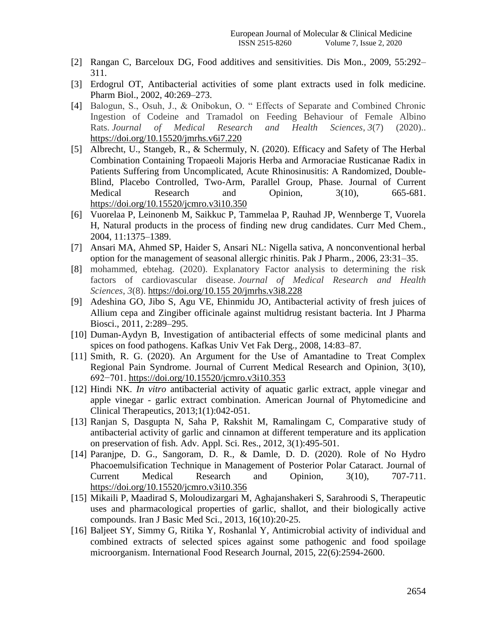- [2] Rangan C, Barceloux DG, Food additives and sensitivities. Dis Mon., 2009, 55:292– 311.
- [3] Erdogrul OT, Antibacterial activities of some plant extracts used in folk medicine. Pharm Biol., 2002, 40:269–273.
- [4] Balogun, S., Osuh, J., & Onibokun, O. " Effects of Separate and Combined Chronic Ingestion of Codeine and Tramadol on Feeding Behaviour of Female Albino Rats. *Journal of Medical Research and Health Sciences*, *3*(7) (2020).. https://doi.org/10.15520/jmrhs.v6i7.220
- [5] Albrecht, U., Stangeb, R., & Schermuly, N. (2020). Efficacy and Safety of The Herbal Combination Containing Tropaeoli Majoris Herba and Armoraciae Rusticanae Radix in Patients Suffering from Uncomplicated, Acute Rhinosinusitis: A Randomized, Double-Blind, Placebo Controlled, Two-Arm, Parallel Group, Phase. Journal of Current Medical Research and Opinion, 3(10), 665-681. https://doi.org/10.15520/jcmro.v3i10.350
- [6] Vuorelaa P, Leinonenb M, Saikkuc P, Tammelaa P, Rauhad JP, Wennberge T, Vuorela H, Natural products in the process of finding new drug candidates. Curr Med Chem., 2004, 11:1375–1389.
- [7] Ansari MA, Ahmed SP, Haider S, Ansari NL: Nigella sativa, A nonconventional herbal option for the management of seasonal allergic rhinitis. Pak J Pharm., 2006, 23:31–35.
- [8] mohammed, ebtehag. (2020). Explanatory Factor analysis to determining the risk factors of cardiovascular disease. *Journal of Medical Research and Health Sciences*, *3*(8). https://doi.org/10.155 20/jmrhs.v3i8.228
- [9] Adeshina GO, Jibo S, Agu VE, Ehinmidu JO, Antibacterial activity of fresh juices of Allium cepa and Zingiber officinale against multidrug resistant bacteria. Int J Pharma Biosci., 2011, 2:289–295.
- [10] Duman-Aydyn B, Investigation of antibacterial effects of some medicinal plants and spices on food pathogens. Kafkas Univ Vet Fak Derg., 2008, 14:83–87.
- [11] Smith, R. G. (2020). An Argument for the Use of Amantadine to Treat Complex Regional Pain Syndrome. Journal of Current Medical Research and Opinion, 3(10), 692−701. https://doi.org/10.15520/jcmro.v3i10.353
- [12] Hindi NK. *In vitro* antibacterial activity of aquatic garlic extract, apple vinegar and apple vinegar - garlic extract combination. American Journal of Phytomedicine and Clinical Therapeutics, 2013;1(1):042-051.
- [13] Ranjan S, Dasgupta N, Saha P, Rakshit M, Ramalingam C, Comparative study of antibacterial activity of garlic and cinnamon at different temperature and its application on preservation of fish. Adv. Appl. Sci. Res., 2012, 3(1):495-501.
- [14] Paranjpe, D. G., Sangoram, D. R., & Damle, D. D. (2020). Role of No Hydro Phacoemulsification Technique in Management of Posterior Polar Cataract. Journal of Current Medical Research and Opinion, 3(10), 707-711. https://doi.org/10.15520/jcmro.v3i10.356
- [15] Mikaili P, Maadirad S, Moloudizargari M, Aghajanshakeri S, Sarahroodi S, Therapeutic uses and pharmacological properties of garlic, shallot, and their biologically active compounds. Iran J Basic Med Sci., 2013, 16(10):20-25.
- [16] Baljeet SY, Simmy G, Ritika Y, Roshanlal Y, Antimicrobial activity of individual and combined extracts of selected spices against some pathogenic and food spoilage microorganism. International Food Research Journal, 2015, 22(6):2594-2600.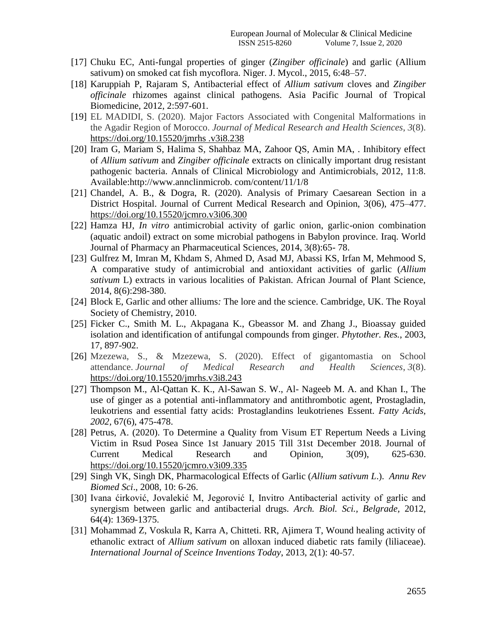- [17] Chuku EC, Anti-fungal properties of ginger (*Zingiber officinale*) and garlic (Allium sativum) on smoked cat fish mycoflora. Niger. J. Mycol., 2015, 6:48–57.
- [18] Karuppiah P, Rajaram S, Antibacterial effect of *Allium sativum* cloves and *Zingiber officinale* rhizomes against clinical pathogens. Asia Pacific Journal of Tropical Biomedicine, 2012, 2:597-601.
- [19] EL MADIDI, S. (2020). Major Factors Associated with Congenital Malformations in the Agadir Region of Morocco. *Journal of Medical Research and Health Sciences*, *3*(8). https://doi.org/10.15520/jmrhs .v3i8.238
- [20] Iram G, Mariam S, Halima S, Shahbaz MA, Zahoor QS, Amin MA, . Inhibitory effect of *Allium sativum* and *Zingiber officinale* extracts on clinically important drug resistant pathogenic bacteria. Annals of Clinical Microbiology and Antimicrobials, 2012, 11:8. Available:http://www.annclinmicrob. com/content/11/1/8
- [21] Chandel, A. B., & Dogra, R. (2020). Analysis of Primary Caesarean Section in a District Hospital. Journal of Current Medical Research and Opinion, 3(06), 475–477. https://doi.org/10.15520/jcmro.v3i06.300
- [22] Hamza HJ, *In vitro* antimicrobial activity of garlic onion, garlic-onion combination (aquatic andoil) extract on some microbial pathogens in Babylon province. Iraq. World Journal of Pharmacy an Pharmaceutical Sciences, 2014, 3(8):65- 78.
- [23] Gulfrez M, Imran M, Khdam S, Ahmed D, Asad MJ, Abassi KS, Irfan M, Mehmood S, A comparative study of antimicrobial and antioxidant activities of garlic (*Allium sativum* L) extracts in various localities of Pakistan. African Journal of Plant Science, 2014, 8(6):298-380.
- [24] Block E, Garlic and other alliums*:* The lore and the science. Cambridge, UK. The Royal Society of Chemistry, 2010.
- [25] Ficker C., Smith M. L., Akpagana K., Gbeassor M. and Zhang J., Bioassay guided isolation and identification of antifungal compounds from ginger. *Phytother. Res.*, 2003, 17, 897-902.
- [26] Mzezewa, S., & Mzezewa, S. (2020). Effect of gigantomastia on School attendance. *Journal of Medical Research and Health Sciences*, *3*(8). https://doi.org/10.15520/jmrhs.v3i8.243
- [27] Thompson M., Al-Qattan K. K., Al-Sawan S. W., Al- Nageeb M. A. and Khan I., The use of ginger as a potential anti-inflammatory and antithrombotic agent, Prostagladin, leukotriens and essential fatty acids: Prostaglandins leukotrienes Essent. *Fatty Acids, 2002,* 67(6), 475-478.
- [28] Petrus, A. (2020). To Determine a Quality from Visum ET Repertum Needs a Living Victim in Rsud Posea Since 1st January 2015 Till 31st December 2018. Journal of Current Medical Research and Opinion, 3(09), 625-630. https://doi.org/10.15520/jcmro.v3i09.335
- [29] Singh VK, Singh DK, Pharmacological Effects of Garlic (*Allium sativum L*.). *Annu Rev Biomed Sci*., 2008, 10: 6-26.
- [30] Ivana ćirković, Jovalekić M, Jegorović I, Invitro Antibacterial activity of garlic and synergism between garlic and antibacterial drugs. *Arch. Biol. Sci., Belgrade,* 2012, 64(4): 1369-1375.
- [31] Mohammad Z, Voskula R, Karra A, Chitteti. RR, Ajimera T, Wound healing activity of ethanolic extract of *Allium sativum* on alloxan induced diabetic rats family (liliaceae). *International Journal of Sceince Inventions Today*, 2013, 2(1): 40-57.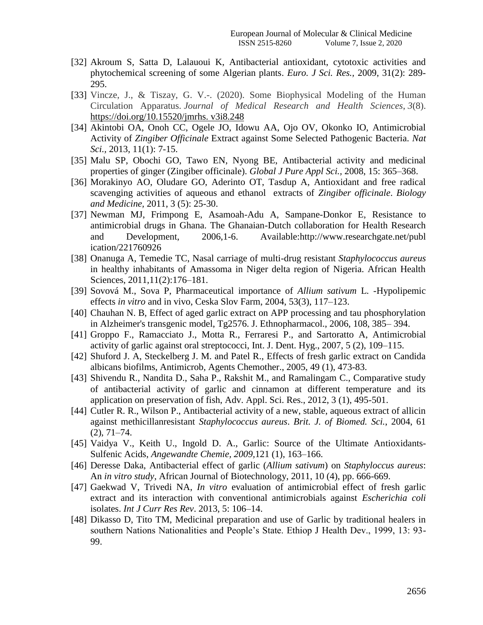- [32] Akroum S, Satta D, Lalauoui K, Antibacterial antioxidant, cytotoxic activities and phytochemical screening of some Algerian plants. *Euro. J Sci. Res.,* 2009, 31(2): 289- 295.
- [33] Vincze, J., & Tiszay, G. V.-. (2020). Some Biophysical Modeling of the Human Circulation Apparatus. *Journal of Medical Research and Health Sciences*, *3*(8). https://doi.org/10.15520/jmrhs. v3i8.248
- [34] Akintobi OA, Onoh CC, Ogele JO, Idowu AA, Ojo OV, Okonko IO, Antimicrobial Activity of *Zingiber Officinale* Extract against Some Selected Pathogenic Bacteria. *Nat Sci.,* 2013, 11(1): 7-15.
- [35] Malu SP, Obochi GO, Tawo EN, Nyong BE, Antibacterial activity and medicinal properties of ginger (Zingiber officinale). *Global J Pure Appl Sci.,* 2008, 15: 365–368.
- [36] Morakinyo AO, Oludare GO, Aderinto OT, Tasdup A, Antioxidant and free radical scavenging activities of aqueous and ethanol extracts of *Zingiber officinale*. *Biology and Medicine,* 2011, 3 (5): 25-30.
- [37] Newman MJ, Frimpong E, Asamoah-Adu A, Sampane-Donkor E, Resistance to antimicrobial drugs in Ghana. The Ghanaian-Dutch collaboration for Health Research and Development, 2006,1-6. Available:http://www.researchgate.net/publ ication/221760926
- [38] Onanuga A, Temedie TC, Nasal carriage of multi-drug resistant *Staphylococcus aureus*  in healthy inhabitants of Amassoma in Niger delta region of Nigeria. African Health Sciences, 2011,11(2):176–181.
- [39] Sovová M., Sova P, Pharmaceutical importance of *Allium sativum* L. -Hypolipemic effects *in vitro* and in vivo, Ceska Slov Farm, 2004, 53(3), 117–123.
- [40] Chauhan N. B, Effect of aged garlic extract on APP processing and tau phosphorylation in Alzheimer's transgenic model, Tg2576. J. Ethnopharmacol., 2006, 108, 385– 394.
- [41] Groppo F., Ramacciato J., Motta R., Ferraresi P., and Sartoratto A, Antimicrobial activity of garlic against oral streptococci, Int. J. Dent. Hyg., 2007, 5 (2), 109–115.
- [42] Shuford J. A, Steckelberg J. M. and Patel R., Effects of fresh garlic extract on Candida albicans biofilms, Antimicrob, Agents Chemother., 2005, 49 (1), 473-83.
- [43] Shivendu R., Nandita D., Saha P., Rakshit M., and Ramalingam C., Comparative study of antibacterial activity of garlic and cinnamon at different temperature and its application on preservation of fish, Adv. Appl. Sci. Res., 2012, 3 (1), 495-501.
- [44] Cutler R. R., Wilson P., Antibacterial activity of a new, stable, aqueous extract of allicin against methicillanresistant *Staphylococcus aureus*. *Brit. J. of Biomed. Sci.*, 2004, 61  $(2)$ , 71–74.
- [45] Vaidya V., Keith U., Ingold D. A., Garlic: Source of the Ultimate Antioxidants-Sulfenic Acids, *Angewandte Chemie, 2009,*121 (1), 163–166.
- [46] Deresse Daka, Antibacterial effect of garlic (*Allium sativum*) on *Staphyloccus aureus*: An *in vitro study*, African Journal of Biotechnology, 2011, 10 (4), pp. 666-669.
- [47] Gaekwad V, Trivedi NA, *In vitro* evaluation of antimicrobial effect of fresh garlic extract and its interaction with conventional antimicrobials against *Escherichia coli*  isolates. *Int J Curr Res Rev*. 2013, 5: 106–14.
- [48] Dikasso D, Tito TM, Medicinal preparation and use of Garlic by traditional healers in southern Nations Nationalities and People's State. Ethiop J Health Dev., 1999, 13: 93-99.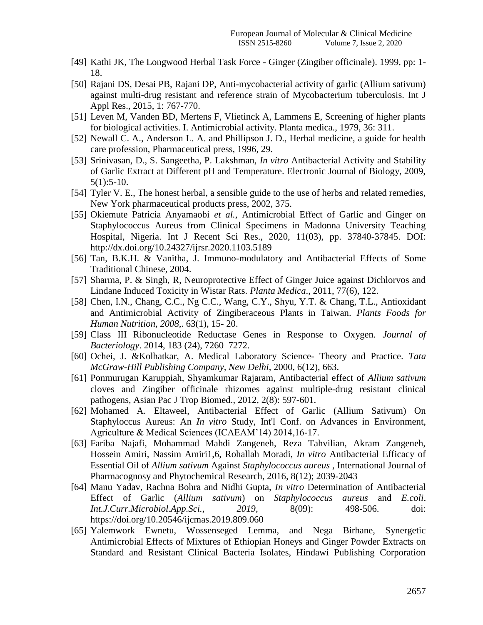- [49] Kathi JK, The Longwood Herbal Task Force Ginger (Zingiber officinale). 1999, pp: 1- 18.
- [50] Rajani DS, Desai PB, Rajani DP, Anti-mycobacterial activity of garlic (Allium sativum) against multi-drug resistant and reference strain of Mycobacterium tuberculosis. Int J Appl Res., 2015, 1: 767-770.
- [51] Leven M, Vanden BD, Mertens F, Vlietinck A, Lammens E, Screening of higher plants for biological activities. I. Antimicrobial activity. Planta medica., 1979, 36: 311.
- [52] Newall C. A., Anderson L. A. and Phillipson J. D., Herbal medicine, a guide for health care profession, Pharmaceutical press, 1996, 29.
- [53] Srinivasan, D., S. Sangeetha, P. Lakshman, *In vitro* Antibacterial Activity and Stability of Garlic Extract at Different pH and Temperature. Electronic Journal of Biology, 2009, 5(1):5-10.
- [54] Tyler V. E., The honest herbal, a sensible guide to the use of herbs and related remedies, New York pharmaceutical products press, 2002, 375.
- [55] Okiemute Patricia Anyamaobi *et al.*, Antimicrobial Effect of Garlic and Ginger on Staphylococcus Aureus from Clinical Specimens in Madonna University Teaching Hospital, Nigeria. Int J Recent Sci Res., 2020, 11(03), pp. 37840-37845. DOI: <http://dx.doi.org/10.24327/ijrsr.2020.1103.5189>
- [56] Tan, B.K.H. & Vanitha, J. Immuno-modulatory and Antibacterial Effects of Some Traditional Chinese, 2004.
- [57] Sharma, P. & Singh, R, Neuroprotective Effect of Ginger Juice against Dichlorvos and Lindane Induced Toxicity in Wistar Rats. *Planta Medica*., 2011, 77(6), 122.
- [58] Chen, I.N., Chang, C.C., Ng C.C., Wang, C.Y., Shyu, Y.T. & Chang, T.L., Antioxidant and Antimicrobial Activity of Zingiberaceous Plants in Taiwan. *Plants Foods for Human Nutrition, 2008,*. 63(1), 15- 20.
- [59] Class III Ribonucleotide Reductase Genes in Response to Oxygen. *Journal of Bacteriology*. 2014, 183 (24), 7260–7272.
- [60] Ochei, J. &Kolhatkar, A. Medical Laboratory Science- Theory and Practice. *Tata McGraw-Hill Publishing Company, New Delhi*, 2000, 6(12), 663.
- [61] Ponmurugan Karuppiah, Shyamkumar Rajaram, Antibacterial effect of *Allium sativum*  cloves and Zingiber officinale rhizomes against multiple-drug resistant clinical pathogens, Asian Pac J Trop Biomed., 2012, 2(8): 597-601.
- [62] Mohamed A. Eltaweel, Antibacterial Effect of Garlic (Allium Sativum) On Staphyloccus Aureus: An *In vitro* Study, Int'l Conf. on Advances in Environment, Agriculture & Medical Sciences (ICAEAM"14) 2014,16-17.
- [63] Fariba Najafi, Mohammad Mahdi Zangeneh, Reza Tahvilian, Akram Zangeneh, Hossein Amiri, Nassim Amiri1,6, Rohallah Moradi, *In vitro* Antibacterial Efficacy of Essential Oil of *Allium sativum* Against *Staphylococcus aureus ,* International Journal of Pharmacognosy and Phytochemical Research, 2016, 8(12); 2039-2043
- [64] Manu Yadav, Rachna Bohra and Nidhi Gupta, *In vitro* Determination of Antibacterial Effect of Garlic (*Allium sativum*) on *Staphylococcus aureus* and *E.coli*. *Int.J.Curr.Microbiol.App.Sci., 2019,* 8(09): 498-506. doi: https://doi.org/10.20546/ijcmas.2019.809.060
- [65] Yalemwork Ewnetu, Wossenseged Lemma, and Nega Birhane, Synergetic Antimicrobial Effects of Mixtures of Ethiopian Honeys and Ginger Powder Extracts on Standard and Resistant Clinical Bacteria Isolates, Hindawi Publishing Corporation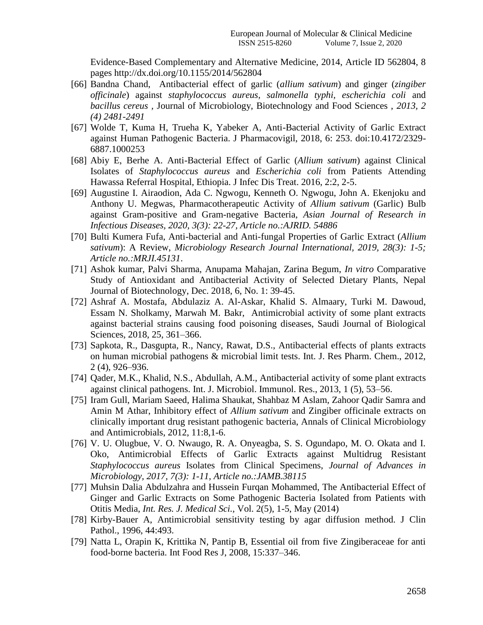Evidence-Based Complementary and Alternative Medicine, 2014, Article ID 562804, 8 pages<http://dx.doi.org/10.1155/2014/562804>

- [66] Bandna Chand,Antibacterial effect of garlic (*allium sativum*) and ginger (*zingiber officinale*) against *staphylococcus aureus, salmonella typhi, escherichia coli* and *bacillus cereus ,* Journal of Microbiology, Biotechnology and Food Sciences , *2013, 2 (4) 2481-2491*
- [67] Wolde T, Kuma H, Trueha K, Yabeker A, Anti-Bacterial Activity of Garlic Extract against Human Pathogenic Bacteria. J Pharmacovigil, 2018, 6: 253. doi:10.4172/2329- 6887.1000253
- [68] Abiy E, Berhe A. Anti-Bacterial Effect of Garlic (*Allium sativum*) against Clinical Isolates of *Staphylococcus aureus* and *Escherichia coli* from Patients Attending Hawassa Referral Hospital, Ethiopia. J Infec Dis Treat. 2016, 2:2, 2-5.
- [69] Augustine I. Airaodion, Ada C. Ngwogu, Kenneth O. Ngwogu, John A. Ekenjoku and Anthony U. Megwas, Pharmacotherapeutic Activity of *Allium sativum* (Garlic) Bulb against Gram-positive and Gram-negative Bacteria*, Asian Journal of Research in Infectious Diseases, 2020, 3(3): 22-27, Article no.:AJRID. 54886*
- [70] Bulti Kumera Fufa, Anti-bacterial and Anti-fungal Properties of Garlic Extract (*Allium sativum*): A Review, *Microbiology Research Journal International, 2019, 28(3): 1-5; Article no.:MRJI.45131*.
- [71] Ashok kumar, Palvi Sharma, Anupama Mahajan, Zarina Begum, *In vitro* Comparative Study of Antioxidant and Antibacterial Activity of Selected Dietary Plants, Nepal Journal of Biotechnology, Dec. 2018, 6, No. 1: 39-45.
- [72] Ashraf A. Mostafa, Abdulaziz A. Al-Askar, Khalid S. Almaary, Turki M. Dawoud, Essam N. Sholkamy, Marwah M. Bakr, Antimicrobial activity of some plant extracts against bacterial strains causing food poisoning diseases, Saudi Journal of Biological Sciences, 2018, 25, 361–366.
- [73] Sapkota, R., Dasgupta, R., Nancy, Rawat, D.S., Antibacterial effects of plants extracts on human microbial pathogens & microbial limit tests. Int. J. Res Pharm. Chem., 2012, 2 (4), 926–936.
- [74] Qader, M.K., Khalid, N.S., Abdullah, A.M., Antibacterial activity of some plant extracts against clinical pathogens. Int. J. Microbiol. Immunol. Res., 2013, 1 (5), 53–56.
- [75] Iram Gull, Mariam Saeed, Halima Shaukat, Shahbaz M Aslam, Zahoor Qadir Samra and Amin M Athar, Inhibitory effect of *Allium sativum* and Zingiber officinale extracts on clinically important drug resistant pathogenic bacteria, Annals of Clinical Microbiology and Antimicrobials, 2012, 11:8,1-6.
- [76] V. U. Olugbue, V. O. Nwaugo, R. A. Onyeagba, S. S. Ogundapo, M. O. Okata and I. Oko, Antimicrobial Effects of Garlic Extracts against Multidrug Resistant *Staphylococcus aureus* Isolates from Clinical Specimens, *Journal of Advances in Microbiology, 2017, 7(3): 1-11, Article no.:JAMB.38115*
- [77] Muhsin Dalia Abdulzahra and Hussein Furqan Mohammed, The Antibacterial Effect of Ginger and Garlic Extracts on Some Pathogenic Bacteria Isolated from Patients with Otitis Media, *Int. Res. J. Medical Sci.,* Vol. 2(5), 1-5, May (2014)
- [78] Kirby-Bauer A, Antimicrobial sensitivity testing by agar diffusion method. J Clin Pathol., 1996, 44:493.
- [79] Natta L, Orapin K, Krittika N, Pantip B, Essential oil from five Zingiberaceae for anti food-borne bacteria. Int Food Res J, 2008, 15:337–346.